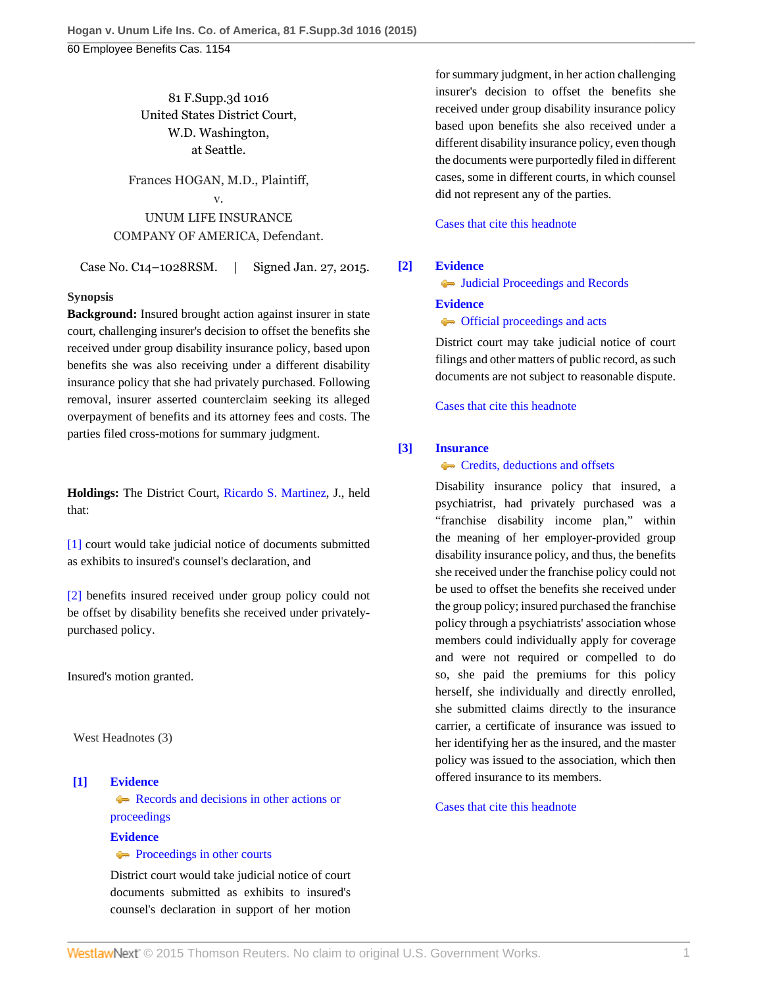# 81 F.Supp.3d 1016 United States District Court, W.D. Washington, at Seattle.

# Frances HOGAN, M.D., Plaintiff, v. UNUM LIFE INSURANCE COMPANY OF AMERICA, Defendant.

Case No. C14–1028RSM. | Signed Jan. 27, 2015.

## **Synopsis**

**Background:** Insured brought action against insurer in state court, challenging insurer's decision to offset the benefits she received under group disability insurance policy, based upon benefits she was also receiving under a different disability insurance policy that she had privately purchased. Following removal, insurer asserted counterclaim seeking its alleged overpayment of benefits and its attorney fees and costs. The parties filed cross-motions for summary judgment.

**Holdings:** The District Court, [Ricardo S. Martinez,](http://www.westlaw.com/Link/Document/FullText?findType=h&pubNum=176284&cite=0170130101&originatingDoc=Ic5584c2ba6e411e4b86bd602cb8781fa&refType=RQ&originationContext=document&vr=3.0&rs=cblt1.0&transitionType=DocumentItem&contextData=(sc.UserEnteredCitation)) J., held that:

[\[1\]](#page-0-0) court would take judicial notice of documents submitted as exhibits to insured's counsel's declaration, and

[\[2\]](#page-0-1) benefits insured received under group policy could not be offset by disability benefits she received under privatelypurchased policy.

Insured's motion granted.

West Headnotes (3)

# <span id="page-0-0"></span>**[\[1\]](#page-2-0) [Evidence](http://www.westlaw.com/Browse/Home/KeyNumber/157/View.html?docGuid=Ic5584c2ba6e411e4b86bd602cb8781fa&originationContext=document&vr=3.0&rs=cblt1.0&transitionType=DocumentItem&contextData=(sc.UserEnteredCitation))**

[Records and decisions in other actions or](http://www.westlaw.com/Browse/Home/KeyNumber/157k43(3)/View.html?docGuid=Ic5584c2ba6e411e4b86bd602cb8781fa&originationContext=document&vr=3.0&rs=cblt1.0&transitionType=DocumentItem&contextData=(sc.UserEnteredCitation)) [proceedings](http://www.westlaw.com/Browse/Home/KeyNumber/157k43(3)/View.html?docGuid=Ic5584c2ba6e411e4b86bd602cb8781fa&originationContext=document&vr=3.0&rs=cblt1.0&transitionType=DocumentItem&contextData=(sc.UserEnteredCitation))

### **[Evidence](http://www.westlaw.com/Browse/Home/KeyNumber/157/View.html?docGuid=Ic5584c2ba6e411e4b86bd602cb8781fa&originationContext=document&vr=3.0&rs=cblt1.0&transitionType=DocumentItem&contextData=(sc.UserEnteredCitation))**

## **[Proceedings in other courts](http://www.westlaw.com/Browse/Home/KeyNumber/157k43(4)/View.html?docGuid=Ic5584c2ba6e411e4b86bd602cb8781fa&originationContext=document&vr=3.0&rs=cblt1.0&transitionType=DocumentItem&contextData=(sc.UserEnteredCitation))**

District court would take judicial notice of court documents submitted as exhibits to insured's counsel's declaration in support of her motion for summary judgment, in her action challenging insurer's decision to offset the benefits she received under group disability insurance policy based upon benefits she also received under a different disability insurance policy, even though the documents were purportedly filed in different cases, some in different courts, in which counsel did not represent any of the parties.

[Cases that cite this headnote](http://www.westlaw.com/Link/RelatedInformation/DocHeadnoteLink?docGuid=Ic5584c2ba6e411e4b86bd602cb8781fa&headnoteId=203533823200120150914135303&originationContext=document&vr=3.0&rs=cblt1.0&transitionType=CitingReferences&contextData=(sc.UserEnteredCitation))

## <span id="page-0-2"></span>**[\[2\]](#page-3-0) [Evidence](http://www.westlaw.com/Browse/Home/KeyNumber/157/View.html?docGuid=Ic5584c2ba6e411e4b86bd602cb8781fa&originationContext=document&vr=3.0&rs=cblt1.0&transitionType=DocumentItem&contextData=(sc.UserEnteredCitation))**

 $\rightarrow$  [Judicial Proceedings and Records](http://www.westlaw.com/Browse/Home/KeyNumber/157k43/View.html?docGuid=Ic5584c2ba6e411e4b86bd602cb8781fa&originationContext=document&vr=3.0&rs=cblt1.0&transitionType=DocumentItem&contextData=(sc.UserEnteredCitation))

### **[Evidence](http://www.westlaw.com/Browse/Home/KeyNumber/157/View.html?docGuid=Ic5584c2ba6e411e4b86bd602cb8781fa&originationContext=document&vr=3.0&rs=cblt1.0&transitionType=DocumentItem&contextData=(sc.UserEnteredCitation))**

### **•** [Official proceedings and acts](http://www.westlaw.com/Browse/Home/KeyNumber/157k48/View.html?docGuid=Ic5584c2ba6e411e4b86bd602cb8781fa&originationContext=document&vr=3.0&rs=cblt1.0&transitionType=DocumentItem&contextData=(sc.UserEnteredCitation))

District court may take judicial notice of court filings and other matters of public record, as such documents are not subject to reasonable dispute.

[Cases that cite this headnote](http://www.westlaw.com/Link/RelatedInformation/DocHeadnoteLink?docGuid=Ic5584c2ba6e411e4b86bd602cb8781fa&headnoteId=203533823200220150914135303&originationContext=document&vr=3.0&rs=cblt1.0&transitionType=CitingReferences&contextData=(sc.UserEnteredCitation))

## <span id="page-0-1"></span>**[\[3\]](#page-5-0) [Insurance](http://www.westlaw.com/Browse/Home/KeyNumber/217/View.html?docGuid=Ic5584c2ba6e411e4b86bd602cb8781fa&originationContext=document&vr=3.0&rs=cblt1.0&transitionType=DocumentItem&contextData=(sc.UserEnteredCitation))**

## **[Credits, deductions and offsets](http://www.westlaw.com/Browse/Home/KeyNumber/217k2571/View.html?docGuid=Ic5584c2ba6e411e4b86bd602cb8781fa&originationContext=document&vr=3.0&rs=cblt1.0&transitionType=DocumentItem&contextData=(sc.UserEnteredCitation))**

Disability insurance policy that insured, a psychiatrist, had privately purchased was a "franchise disability income plan," within the meaning of her employer-provided group disability insurance policy, and thus, the benefits she received under the franchise policy could not be used to offset the benefits she received under the group policy; insured purchased the franchise policy through a psychiatrists' association whose members could individually apply for coverage and were not required or compelled to do so, she paid the premiums for this policy herself, she individually and directly enrolled, she submitted claims directly to the insurance carrier, a certificate of insurance was issued to her identifying her as the insured, and the master policy was issued to the association, which then offered insurance to its members.

[Cases that cite this headnote](http://www.westlaw.com/Link/RelatedInformation/DocHeadnoteLink?docGuid=Ic5584c2ba6e411e4b86bd602cb8781fa&headnoteId=203533823200320150914135303&originationContext=document&vr=3.0&rs=cblt1.0&transitionType=CitingReferences&contextData=(sc.UserEnteredCitation))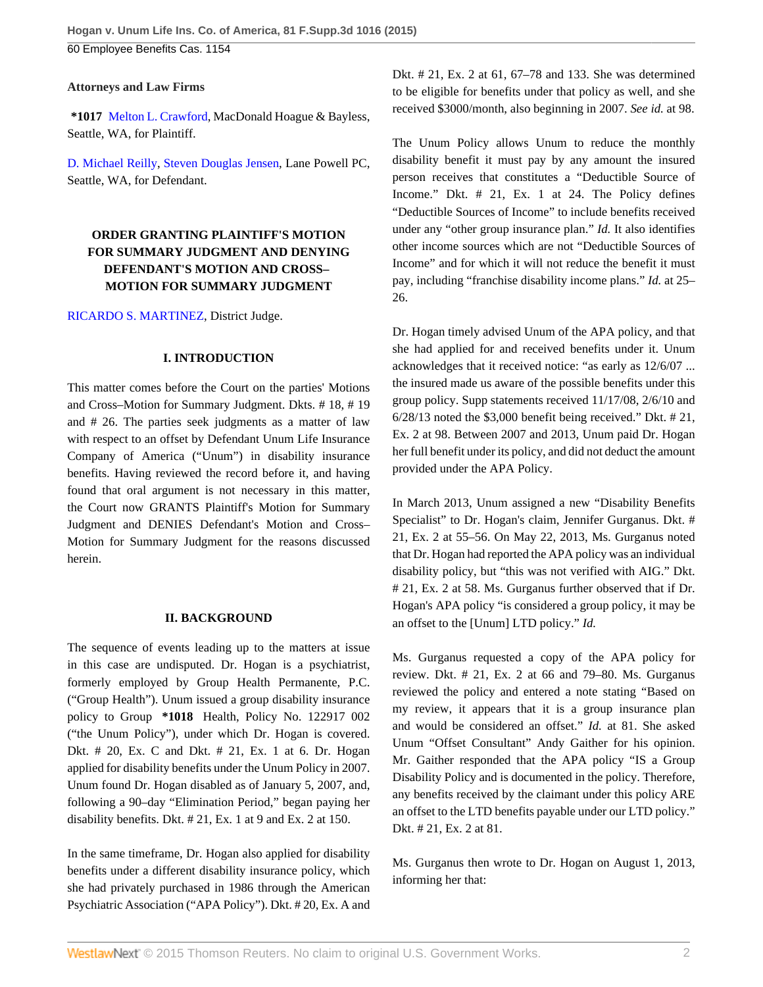**Attorneys and Law Firms**

**\*1017** [Melton L. Crawford,](http://www.westlaw.com/Link/Document/FullText?findType=h&pubNum=176284&cite=0168090501&originatingDoc=Ic5584c2ba6e411e4b86bd602cb8781fa&refType=RQ&originationContext=document&vr=3.0&rs=cblt1.0&transitionType=DocumentItem&contextData=(sc.UserEnteredCitation)) MacDonald Hoague & Bayless, Seattle, WA, for Plaintiff.

[D. Michael Reilly](http://www.westlaw.com/Link/Document/FullText?findType=h&pubNum=176284&cite=0190733601&originatingDoc=Ic5584c2ba6e411e4b86bd602cb8781fa&refType=RQ&originationContext=document&vr=3.0&rs=cblt1.0&transitionType=DocumentItem&contextData=(sc.UserEnteredCitation)), [Steven Douglas Jensen,](http://www.westlaw.com/Link/Document/FullText?findType=h&pubNum=176284&cite=0275189501&originatingDoc=Ic5584c2ba6e411e4b86bd602cb8781fa&refType=RQ&originationContext=document&vr=3.0&rs=cblt1.0&transitionType=DocumentItem&contextData=(sc.UserEnteredCitation)) Lane Powell PC, Seattle, WA, for Defendant.

# **ORDER GRANTING PLAINTIFF'S MOTION FOR SUMMARY JUDGMENT AND DENYING DEFENDANT'S MOTION AND CROSS– MOTION FOR SUMMARY JUDGMENT**

[RICARDO S. MARTINEZ,](http://www.westlaw.com/Link/Document/FullText?findType=h&pubNum=176284&cite=0170130101&originatingDoc=Ic5584c2ba6e411e4b86bd602cb8781fa&refType=RQ&originationContext=document&vr=3.0&rs=cblt1.0&transitionType=DocumentItem&contextData=(sc.UserEnteredCitation)) District Judge.

## **I. INTRODUCTION**

This matter comes before the Court on the parties' Motions and Cross–Motion for Summary Judgment. Dkts. # 18, # 19 and # 26. The parties seek judgments as a matter of law with respect to an offset by Defendant Unum Life Insurance Company of America ("Unum") in disability insurance benefits. Having reviewed the record before it, and having found that oral argument is not necessary in this matter, the Court now GRANTS Plaintiff's Motion for Summary Judgment and DENIES Defendant's Motion and Cross– Motion for Summary Judgment for the reasons discussed herein.

## **II. BACKGROUND**

The sequence of events leading up to the matters at issue in this case are undisputed. Dr. Hogan is a psychiatrist, formerly employed by Group Health Permanente, P.C. ("Group Health"). Unum issued a group disability insurance policy to Group **\*1018** Health, Policy No. 122917 002 ("the Unum Policy"), under which Dr. Hogan is covered. Dkt. # 20, Ex. C and Dkt. # 21, Ex. 1 at 6. Dr. Hogan applied for disability benefits under the Unum Policy in 2007. Unum found Dr. Hogan disabled as of January 5, 2007, and, following a 90–day "Elimination Period," began paying her disability benefits. Dkt. # 21, Ex. 1 at 9 and Ex. 2 at 150.

In the same timeframe, Dr. Hogan also applied for disability benefits under a different disability insurance policy, which she had privately purchased in 1986 through the American Psychiatric Association ("APA Policy"). Dkt. # 20, Ex. A and

Dkt. # 21, Ex. 2 at 61, 67–78 and 133. She was determined to be eligible for benefits under that policy as well, and she received \$3000/month, also beginning in 2007. *See id.* at 98.

The Unum Policy allows Unum to reduce the monthly disability benefit it must pay by any amount the insured person receives that constitutes a "Deductible Source of Income." Dkt. # 21, Ex. 1 at 24. The Policy defines "Deductible Sources of Income" to include benefits received under any "other group insurance plan." *Id.* It also identifies other income sources which are not "Deductible Sources of Income" and for which it will not reduce the benefit it must pay, including "franchise disability income plans." *Id.* at 25– 26.

Dr. Hogan timely advised Unum of the APA policy, and that she had applied for and received benefits under it. Unum acknowledges that it received notice: "as early as 12/6/07 ... the insured made us aware of the possible benefits under this group policy. Supp statements received 11/17/08, 2/6/10 and 6/28/13 noted the \$3,000 benefit being received." Dkt. # 21, Ex. 2 at 98. Between 2007 and 2013, Unum paid Dr. Hogan her full benefit under its policy, and did not deduct the amount provided under the APA Policy.

In March 2013, Unum assigned a new "Disability Benefits Specialist" to Dr. Hogan's claim, Jennifer Gurganus. Dkt. # 21, Ex. 2 at 55–56. On May 22, 2013, Ms. Gurganus noted that Dr. Hogan had reported the APA policy was an individual disability policy, but "this was not verified with AIG." Dkt. # 21, Ex. 2 at 58. Ms. Gurganus further observed that if Dr. Hogan's APA policy "is considered a group policy, it may be an offset to the [Unum] LTD policy." *Id.*

Ms. Gurganus requested a copy of the APA policy for review. Dkt. # 21, Ex. 2 at 66 and 79–80. Ms. Gurganus reviewed the policy and entered a note stating "Based on my review, it appears that it is a group insurance plan and would be considered an offset." *Id.* at 81. She asked Unum "Offset Consultant" Andy Gaither for his opinion. Mr. Gaither responded that the APA policy "IS a Group Disability Policy and is documented in the policy. Therefore, any benefits received by the claimant under this policy ARE an offset to the LTD benefits payable under our LTD policy." Dkt. # 21, Ex. 2 at 81.

Ms. Gurganus then wrote to Dr. Hogan on August 1, 2013, informing her that: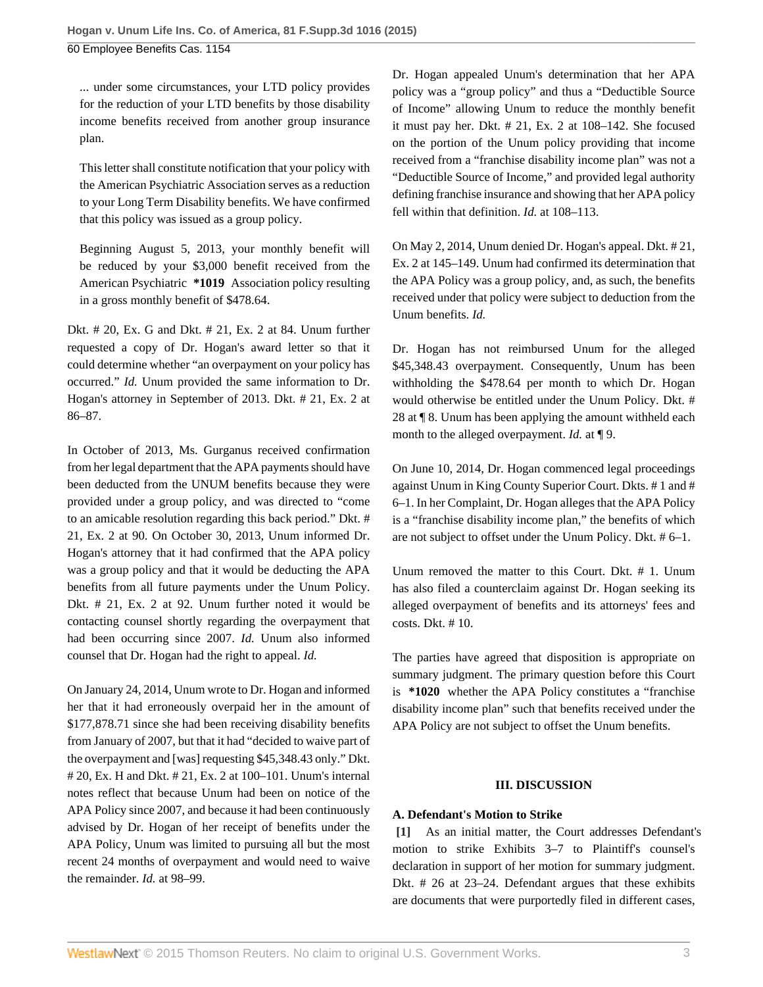... under some circumstances, your LTD policy provides for the reduction of your LTD benefits by those disability income benefits received from another group insurance plan.

This letter shall constitute notification that your policy with the American Psychiatric Association serves as a reduction to your Long Term Disability benefits. We have confirmed that this policy was issued as a group policy.

Beginning August 5, 2013, your monthly benefit will be reduced by your \$3,000 benefit received from the American Psychiatric **\*1019** Association policy resulting in a gross monthly benefit of \$478.64.

Dkt. # 20, Ex. G and Dkt. # 21, Ex. 2 at 84. Unum further requested a copy of Dr. Hogan's award letter so that it could determine whether "an overpayment on your policy has occurred." *Id.* Unum provided the same information to Dr. Hogan's attorney in September of 2013. Dkt. # 21, Ex. 2 at 86–87.

In October of 2013, Ms. Gurganus received confirmation from her legal department that the APA payments should have been deducted from the UNUM benefits because they were provided under a group policy, and was directed to "come to an amicable resolution regarding this back period." Dkt. # 21, Ex. 2 at 90. On October 30, 2013, Unum informed Dr. Hogan's attorney that it had confirmed that the APA policy was a group policy and that it would be deducting the APA benefits from all future payments under the Unum Policy. Dkt. # 21, Ex. 2 at 92. Unum further noted it would be contacting counsel shortly regarding the overpayment that had been occurring since 2007. *Id.* Unum also informed counsel that Dr. Hogan had the right to appeal. *Id.*

On January 24, 2014, Unum wrote to Dr. Hogan and informed her that it had erroneously overpaid her in the amount of \$177,878.71 since she had been receiving disability benefits from January of 2007, but that it had "decided to waive part of the overpayment and [was] requesting \$45,348.43 only." Dkt. # 20, Ex. H and Dkt. # 21, Ex. 2 at 100–101. Unum's internal notes reflect that because Unum had been on notice of the APA Policy since 2007, and because it had been continuously advised by Dr. Hogan of her receipt of benefits under the APA Policy, Unum was limited to pursuing all but the most recent 24 months of overpayment and would need to waive the remainder. *Id.* at 98–99.

Dr. Hogan appealed Unum's determination that her APA policy was a "group policy" and thus a "Deductible Source of Income" allowing Unum to reduce the monthly benefit it must pay her. Dkt. # 21, Ex. 2 at 108–142. She focused on the portion of the Unum policy providing that income received from a "franchise disability income plan" was not a "Deductible Source of Income," and provided legal authority defining franchise insurance and showing that her APA policy fell within that definition. *Id.* at 108–113.

On May 2, 2014, Unum denied Dr. Hogan's appeal. Dkt. # 21, Ex. 2 at 145–149. Unum had confirmed its determination that the APA Policy was a group policy, and, as such, the benefits received under that policy were subject to deduction from the Unum benefits. *Id.*

Dr. Hogan has not reimbursed Unum for the alleged \$45,348.43 overpayment. Consequently, Unum has been withholding the \$478.64 per month to which Dr. Hogan would otherwise be entitled under the Unum Policy. Dkt. # 28 at ¶ 8. Unum has been applying the amount withheld each month to the alleged overpayment. *Id.* at ¶ 9.

On June 10, 2014, Dr. Hogan commenced legal proceedings against Unum in King County Superior Court. Dkts. # 1 and # 6–1. In her Complaint, Dr. Hogan alleges that the APA Policy is a "franchise disability income plan," the benefits of which are not subject to offset under the Unum Policy. Dkt. # 6–1.

Unum removed the matter to this Court. Dkt. # 1. Unum has also filed a counterclaim against Dr. Hogan seeking its alleged overpayment of benefits and its attorneys' fees and costs. Dkt. # 10.

The parties have agreed that disposition is appropriate on summary judgment. The primary question before this Court is **\*1020** whether the APA Policy constitutes a "franchise disability income plan" such that benefits received under the APA Policy are not subject to offset the Unum benefits.

## **III. DISCUSSION**

## **A. Defendant's Motion to Strike**

<span id="page-2-0"></span>**[\[1\]](#page-0-0)** As an initial matter, the Court addresses Defendant's motion to strike Exhibits 3–7 to Plaintiff's counsel's declaration in support of her motion for summary judgment. Dkt. # 26 at 23–24. Defendant argues that these exhibits are documents that were purportedly filed in different cases,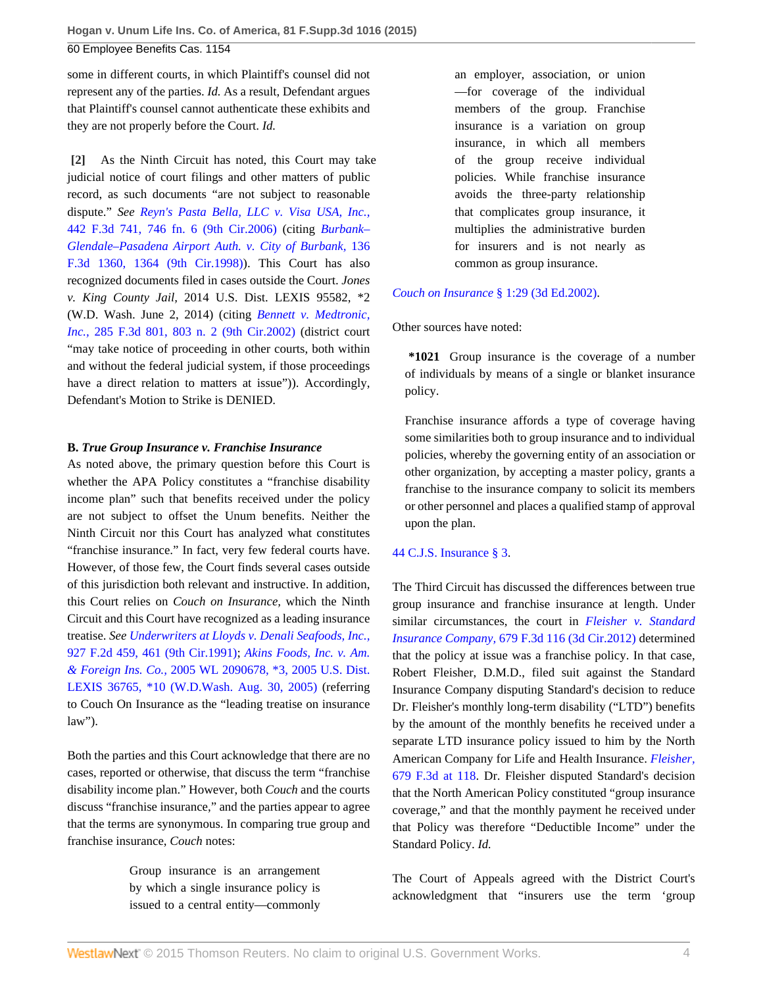some in different courts, in which Plaintiff's counsel did not represent any of the parties. *Id.* As a result, Defendant argues that Plaintiff's counsel cannot authenticate these exhibits and they are not properly before the Court. *Id.*

<span id="page-3-0"></span>**[\[2\]](#page-0-2)** As the Ninth Circuit has noted, this Court may take judicial notice of court filings and other matters of public record, as such documents "are not subject to reasonable dispute." *See [Reyn's Pasta Bella, LLC v. Visa USA, Inc.,](http://www.westlaw.com/Link/Document/FullText?findType=Y&serNum=2008779043&pubNum=0000506&originatingDoc=Ic5584c2ba6e411e4b86bd602cb8781fa&refType=RP&fi=co_pp_sp_506_746&originationContext=document&vr=3.0&rs=cblt1.0&transitionType=DocumentItem&contextData=(sc.UserEnteredCitation)#co_pp_sp_506_746)* [442 F.3d 741, 746 fn. 6 \(9th Cir.2006\)](http://www.westlaw.com/Link/Document/FullText?findType=Y&serNum=2008779043&pubNum=0000506&originatingDoc=Ic5584c2ba6e411e4b86bd602cb8781fa&refType=RP&fi=co_pp_sp_506_746&originationContext=document&vr=3.0&rs=cblt1.0&transitionType=DocumentItem&contextData=(sc.UserEnteredCitation)#co_pp_sp_506_746) (citing *[Burbank–](http://www.westlaw.com/Link/Document/FullText?findType=Y&serNum=1998060974&pubNum=0000506&originatingDoc=Ic5584c2ba6e411e4b86bd602cb8781fa&refType=RP&fi=co_pp_sp_506_1364&originationContext=document&vr=3.0&rs=cblt1.0&transitionType=DocumentItem&contextData=(sc.UserEnteredCitation)#co_pp_sp_506_1364) [Glendale–Pasadena Airport Auth. v. City of Burbank,](http://www.westlaw.com/Link/Document/FullText?findType=Y&serNum=1998060974&pubNum=0000506&originatingDoc=Ic5584c2ba6e411e4b86bd602cb8781fa&refType=RP&fi=co_pp_sp_506_1364&originationContext=document&vr=3.0&rs=cblt1.0&transitionType=DocumentItem&contextData=(sc.UserEnteredCitation)#co_pp_sp_506_1364)* 136 [F.3d 1360, 1364 \(9th Cir.1998\)](http://www.westlaw.com/Link/Document/FullText?findType=Y&serNum=1998060974&pubNum=0000506&originatingDoc=Ic5584c2ba6e411e4b86bd602cb8781fa&refType=RP&fi=co_pp_sp_506_1364&originationContext=document&vr=3.0&rs=cblt1.0&transitionType=DocumentItem&contextData=(sc.UserEnteredCitation)#co_pp_sp_506_1364)). This Court has also recognized documents filed in cases outside the Court. *Jones v. King County Jail,* 2014 U.S. Dist. LEXIS 95582, \*2 (W.D. Wash. June 2, 2014) (citing *[Bennett v. Medtronic,](http://www.westlaw.com/Link/Document/FullText?findType=Y&serNum=2002210834&pubNum=0000506&originatingDoc=Ic5584c2ba6e411e4b86bd602cb8781fa&refType=RP&fi=co_pp_sp_506_803&originationContext=document&vr=3.0&rs=cblt1.0&transitionType=DocumentItem&contextData=(sc.UserEnteredCitation)#co_pp_sp_506_803) Inc.,* [285 F.3d 801, 803 n. 2 \(9th Cir.2002\)](http://www.westlaw.com/Link/Document/FullText?findType=Y&serNum=2002210834&pubNum=0000506&originatingDoc=Ic5584c2ba6e411e4b86bd602cb8781fa&refType=RP&fi=co_pp_sp_506_803&originationContext=document&vr=3.0&rs=cblt1.0&transitionType=DocumentItem&contextData=(sc.UserEnteredCitation)#co_pp_sp_506_803) (district court "may take notice of proceeding in other courts, both within and without the federal judicial system, if those proceedings have a direct relation to matters at issue")). Accordingly, Defendant's Motion to Strike is DENIED.

## **B.** *True Group Insurance v. Franchise Insurance*

As noted above, the primary question before this Court is whether the APA Policy constitutes a "franchise disability income plan" such that benefits received under the policy are not subject to offset the Unum benefits. Neither the Ninth Circuit nor this Court has analyzed what constitutes "franchise insurance." In fact, very few federal courts have. However, of those few, the Court finds several cases outside of this jurisdiction both relevant and instructive. In addition, this Court relies on *Couch on Insurance,* which the Ninth Circuit and this Court have recognized as a leading insurance treatise. *See [Underwriters at Lloyds v. Denali Seafoods, Inc.,](http://www.westlaw.com/Link/Document/FullText?findType=Y&serNum=1991045273&pubNum=0000350&originatingDoc=Ic5584c2ba6e411e4b86bd602cb8781fa&refType=RP&fi=co_pp_sp_350_461&originationContext=document&vr=3.0&rs=cblt1.0&transitionType=DocumentItem&contextData=(sc.UserEnteredCitation)#co_pp_sp_350_461)* [927 F.2d 459, 461 \(9th Cir.1991\)](http://www.westlaw.com/Link/Document/FullText?findType=Y&serNum=1991045273&pubNum=0000350&originatingDoc=Ic5584c2ba6e411e4b86bd602cb8781fa&refType=RP&fi=co_pp_sp_350_461&originationContext=document&vr=3.0&rs=cblt1.0&transitionType=DocumentItem&contextData=(sc.UserEnteredCitation)#co_pp_sp_350_461); *[Akins Foods, Inc. v. Am.](http://www.westlaw.com/Link/Document/FullText?findType=Y&serNum=2007219710&pubNum=0000999&originatingDoc=Ic5584c2ba6e411e4b86bd602cb8781fa&refType=RP&originationContext=document&vr=3.0&rs=cblt1.0&transitionType=DocumentItem&contextData=(sc.UserEnteredCitation)) & Foreign Ins. Co.,* [2005 WL 2090678, \\*3, 2005 U.S. Dist.](http://www.westlaw.com/Link/Document/FullText?findType=Y&serNum=2007219710&pubNum=0000999&originatingDoc=Ic5584c2ba6e411e4b86bd602cb8781fa&refType=RP&originationContext=document&vr=3.0&rs=cblt1.0&transitionType=DocumentItem&contextData=(sc.UserEnteredCitation)) [LEXIS 36765, \\*10 \(W.D.Wash. Aug. 30, 2005\)](http://www.westlaw.com/Link/Document/FullText?findType=Y&serNum=2007219710&pubNum=0000999&originatingDoc=Ic5584c2ba6e411e4b86bd602cb8781fa&refType=RP&originationContext=document&vr=3.0&rs=cblt1.0&transitionType=DocumentItem&contextData=(sc.UserEnteredCitation)) (referring to Couch On Insurance as the "leading treatise on insurance law").

Both the parties and this Court acknowledge that there are no cases, reported or otherwise, that discuss the term "franchise disability income plan." However, both *Couch* and the courts discuss "franchise insurance," and the parties appear to agree that the terms are synonymous. In comparing true group and franchise insurance, *Couch* notes:

> Group insurance is an arrangement by which a single insurance policy is issued to a central entity—commonly

an employer, association, or union —for coverage of the individual members of the group. Franchise insurance is a variation on group insurance, in which all members of the group receive individual policies. While franchise insurance avoids the three-party relationship that complicates group insurance, it multiplies the administrative burden for insurers and is not nearly as common as group insurance.

*Couch on Insurance* [§ 1:29 \(3d Ed.2002\)](http://www.westlaw.com/Link/Document/FullText?findType=Y&serNum=0299579110&pubNum=0111947&originatingDoc=Ic5584c2ba6e411e4b86bd602cb8781fa&refType=TS&originationContext=document&vr=3.0&rs=cblt1.0&transitionType=DocumentItem&contextData=(sc.UserEnteredCitation)).

Other sources have noted:

**\*1021** Group insurance is the coverage of a number of individuals by means of a single or blanket insurance policy.

Franchise insurance affords a type of coverage having some similarities both to group insurance and to individual policies, whereby the governing entity of an association or other organization, by accepting a master policy, grants a franchise to the insurance company to solicit its members or other personnel and places a qualified stamp of approval upon the plan.

## [44 C.J.S. Insurance § 3](http://www.westlaw.com/Link/Document/FullText?findType=Y&serNum=0289604129&pubNum=0110615&originatingDoc=Ic5584c2ba6e411e4b86bd602cb8781fa&refType=TS&originationContext=document&vr=3.0&rs=cblt1.0&transitionType=DocumentItem&contextData=(sc.UserEnteredCitation)).

The Third Circuit has discussed the differences between true group insurance and franchise insurance at length. Under similar circumstances, the court in *[Fleisher v. Standard](http://www.westlaw.com/Link/Document/FullText?findType=Y&serNum=2027718105&pubNum=0000506&originatingDoc=Ic5584c2ba6e411e4b86bd602cb8781fa&refType=RP&originationContext=document&vr=3.0&rs=cblt1.0&transitionType=DocumentItem&contextData=(sc.UserEnteredCitation)) Insurance Company,* [679 F.3d 116 \(3d Cir.2012\)](http://www.westlaw.com/Link/Document/FullText?findType=Y&serNum=2027718105&pubNum=0000506&originatingDoc=Ic5584c2ba6e411e4b86bd602cb8781fa&refType=RP&originationContext=document&vr=3.0&rs=cblt1.0&transitionType=DocumentItem&contextData=(sc.UserEnteredCitation)) determined that the policy at issue was a franchise policy. In that case, Robert Fleisher, D.M.D., filed suit against the Standard Insurance Company disputing Standard's decision to reduce Dr. Fleisher's monthly long-term disability ("LTD") benefits by the amount of the monthly benefits he received under a separate LTD insurance policy issued to him by the North American Company for Life and Health Insurance. *[Fleisher,](http://www.westlaw.com/Link/Document/FullText?findType=Y&serNum=2027718105&pubNum=0000506&originatingDoc=Ic5584c2ba6e411e4b86bd602cb8781fa&refType=RP&fi=co_pp_sp_506_118&originationContext=document&vr=3.0&rs=cblt1.0&transitionType=DocumentItem&contextData=(sc.UserEnteredCitation)#co_pp_sp_506_118)* [679 F.3d at 118](http://www.westlaw.com/Link/Document/FullText?findType=Y&serNum=2027718105&pubNum=0000506&originatingDoc=Ic5584c2ba6e411e4b86bd602cb8781fa&refType=RP&fi=co_pp_sp_506_118&originationContext=document&vr=3.0&rs=cblt1.0&transitionType=DocumentItem&contextData=(sc.UserEnteredCitation)#co_pp_sp_506_118). Dr. Fleisher disputed Standard's decision that the North American Policy constituted "group insurance coverage," and that the monthly payment he received under that Policy was therefore "Deductible Income" under the Standard Policy. *Id.*

The Court of Appeals agreed with the District Court's acknowledgment that "insurers use the term 'group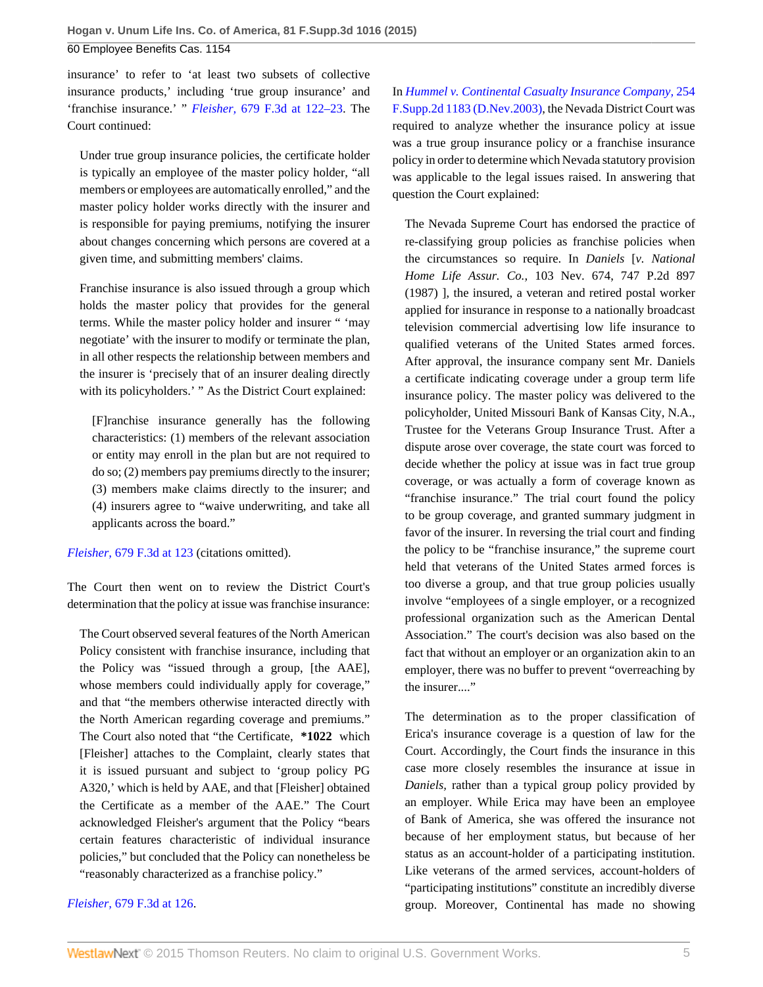60 Employee Benefits Cas. 1154

insurance' to refer to 'at least two subsets of collective insurance products,' including 'true group insurance' and 'franchise insurance.' " *Fleisher,* [679 F.3d at 122–23](http://www.westlaw.com/Link/Document/FullText?findType=Y&serNum=2027718105&pubNum=0000506&originatingDoc=Ic5584c2ba6e411e4b86bd602cb8781fa&refType=RP&fi=co_pp_sp_506_122&originationContext=document&vr=3.0&rs=cblt1.0&transitionType=DocumentItem&contextData=(sc.UserEnteredCitation)#co_pp_sp_506_122). The Court continued:

Under true group insurance policies, the certificate holder is typically an employee of the master policy holder, "all members or employees are automatically enrolled," and the master policy holder works directly with the insurer and is responsible for paying premiums, notifying the insurer about changes concerning which persons are covered at a given time, and submitting members' claims.

Franchise insurance is also issued through a group which holds the master policy that provides for the general terms. While the master policy holder and insurer " 'may negotiate' with the insurer to modify or terminate the plan, in all other respects the relationship between members and the insurer is 'precisely that of an insurer dealing directly with its policyholders.' " As the District Court explained:

[F]ranchise insurance generally has the following characteristics: (1) members of the relevant association or entity may enroll in the plan but are not required to do so; (2) members pay premiums directly to the insurer; (3) members make claims directly to the insurer; and (4) insurers agree to "waive underwriting, and take all applicants across the board."

*Fleisher,* [679 F.3d at 123](http://www.westlaw.com/Link/Document/FullText?findType=Y&serNum=2027718105&pubNum=0000506&originatingDoc=Ic5584c2ba6e411e4b86bd602cb8781fa&refType=RP&fi=co_pp_sp_506_123&originationContext=document&vr=3.0&rs=cblt1.0&transitionType=DocumentItem&contextData=(sc.UserEnteredCitation)#co_pp_sp_506_123) (citations omitted).

The Court then went on to review the District Court's determination that the policy at issue was franchise insurance:

The Court observed several features of the North American Policy consistent with franchise insurance, including that the Policy was "issued through a group, [the AAE], whose members could individually apply for coverage," and that "the members otherwise interacted directly with the North American regarding coverage and premiums." The Court also noted that "the Certificate, **\*1022** which [Fleisher] attaches to the Complaint, clearly states that it is issued pursuant and subject to 'group policy PG A320,' which is held by AAE, and that [Fleisher] obtained the Certificate as a member of the AAE." The Court acknowledged Fleisher's argument that the Policy "bears certain features characteristic of individual insurance policies," but concluded that the Policy can nonetheless be "reasonably characterized as a franchise policy."

*Fleisher,* [679 F.3d at 126](http://www.westlaw.com/Link/Document/FullText?findType=Y&serNum=2027718105&pubNum=0000506&originatingDoc=Ic5584c2ba6e411e4b86bd602cb8781fa&refType=RP&fi=co_pp_sp_506_126&originationContext=document&vr=3.0&rs=cblt1.0&transitionType=DocumentItem&contextData=(sc.UserEnteredCitation)#co_pp_sp_506_126).

In *[Hummel v. Continental Casualty Insurance Company,](http://www.westlaw.com/Link/Document/FullText?findType=Y&serNum=2003268709&pubNum=0004637&originatingDoc=Ic5584c2ba6e411e4b86bd602cb8781fa&refType=RP&originationContext=document&vr=3.0&rs=cblt1.0&transitionType=DocumentItem&contextData=(sc.UserEnteredCitation))* 254 [F.Supp.2d 1183 \(D.Nev.2003\)](http://www.westlaw.com/Link/Document/FullText?findType=Y&serNum=2003268709&pubNum=0004637&originatingDoc=Ic5584c2ba6e411e4b86bd602cb8781fa&refType=RP&originationContext=document&vr=3.0&rs=cblt1.0&transitionType=DocumentItem&contextData=(sc.UserEnteredCitation)), the Nevada District Court was required to analyze whether the insurance policy at issue was a true group insurance policy or a franchise insurance policy in order to determine which Nevada statutory provision was applicable to the legal issues raised. In answering that question the Court explained:

The Nevada Supreme Court has endorsed the practice of re-classifying group policies as franchise policies when the circumstances so require. In *Daniels* [*v. National Home Life Assur. Co.,* 103 Nev. 674, 747 P.2d 897 (1987) ], the insured, a veteran and retired postal worker applied for insurance in response to a nationally broadcast television commercial advertising low life insurance to qualified veterans of the United States armed forces. After approval, the insurance company sent Mr. Daniels a certificate indicating coverage under a group term life insurance policy. The master policy was delivered to the policyholder, United Missouri Bank of Kansas City, N.A., Trustee for the Veterans Group Insurance Trust. After a dispute arose over coverage, the state court was forced to decide whether the policy at issue was in fact true group coverage, or was actually a form of coverage known as "franchise insurance." The trial court found the policy to be group coverage, and granted summary judgment in favor of the insurer. In reversing the trial court and finding the policy to be "franchise insurance," the supreme court held that veterans of the United States armed forces is too diverse a group, and that true group policies usually involve "employees of a single employer, or a recognized professional organization such as the American Dental Association." The court's decision was also based on the fact that without an employer or an organization akin to an employer, there was no buffer to prevent "overreaching by the insurer...."

The determination as to the proper classification of Erica's insurance coverage is a question of law for the Court. Accordingly, the Court finds the insurance in this case more closely resembles the insurance at issue in *Daniels,* rather than a typical group policy provided by an employer. While Erica may have been an employee of Bank of America, she was offered the insurance not because of her employment status, but because of her status as an account-holder of a participating institution. Like veterans of the armed services, account-holders of "participating institutions" constitute an incredibly diverse group. Moreover, Continental has made no showing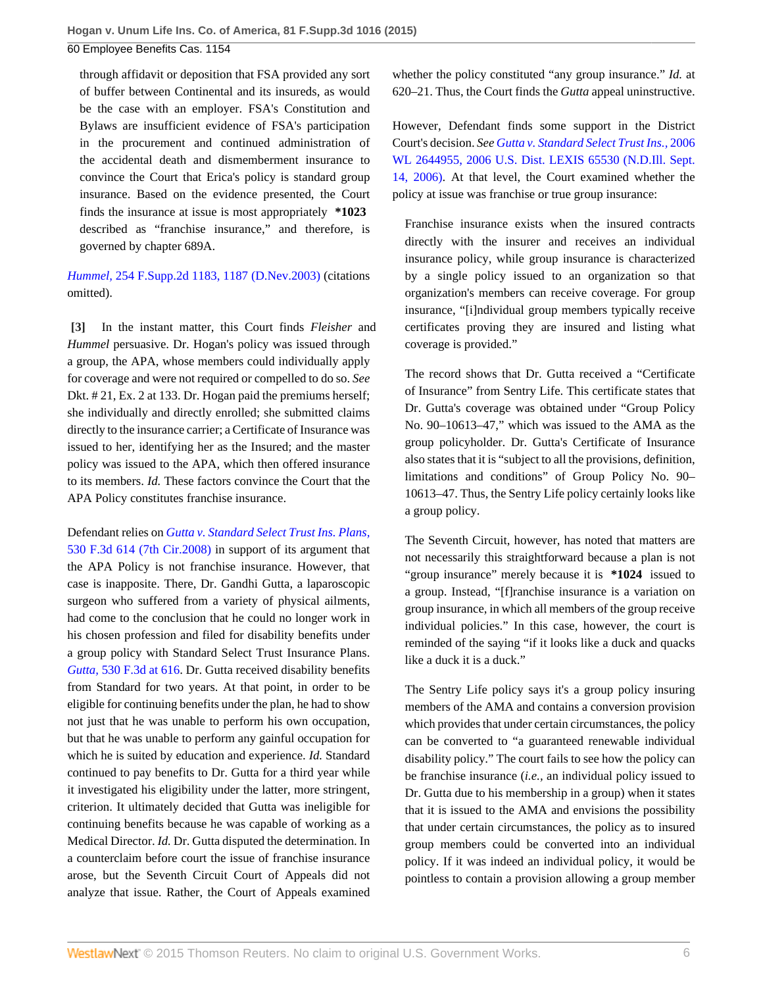60 Employee Benefits Cas. 1154

through affidavit or deposition that FSA provided any sort of buffer between Continental and its insureds, as would be the case with an employer. FSA's Constitution and Bylaws are insufficient evidence of FSA's participation in the procurement and continued administration of the accidental death and dismemberment insurance to convince the Court that Erica's policy is standard group insurance. Based on the evidence presented, the Court finds the insurance at issue is most appropriately **\*1023** described as "franchise insurance," and therefore, is governed by chapter 689A.

*Hummel,* [254 F.Supp.2d 1183, 1187 \(D.Nev.2003\)](http://www.westlaw.com/Link/Document/FullText?findType=Y&serNum=2003268709&pubNum=0004637&originatingDoc=Ic5584c2ba6e411e4b86bd602cb8781fa&refType=RP&fi=co_pp_sp_4637_1187&originationContext=document&vr=3.0&rs=cblt1.0&transitionType=DocumentItem&contextData=(sc.UserEnteredCitation)#co_pp_sp_4637_1187) (citations omitted).

<span id="page-5-0"></span>**[\[3\]](#page-0-1)** In the instant matter, this Court finds *Fleisher* and *Hummel* persuasive. Dr. Hogan's policy was issued through a group, the APA, whose members could individually apply for coverage and were not required or compelled to do so. *See* Dkt. # 21, Ex. 2 at 133. Dr. Hogan paid the premiums herself; she individually and directly enrolled; she submitted claims directly to the insurance carrier; a Certificate of Insurance was issued to her, identifying her as the Insured; and the master policy was issued to the APA, which then offered insurance to its members. *Id.* These factors convince the Court that the APA Policy constitutes franchise insurance.

Defendant relies on *[Gutta v. Standard Select Trust Ins. Plans,](http://www.westlaw.com/Link/Document/FullText?findType=Y&serNum=2016386038&pubNum=0000506&originatingDoc=Ic5584c2ba6e411e4b86bd602cb8781fa&refType=RP&originationContext=document&vr=3.0&rs=cblt1.0&transitionType=DocumentItem&contextData=(sc.UserEnteredCitation))* [530 F.3d 614 \(7th Cir.2008\)](http://www.westlaw.com/Link/Document/FullText?findType=Y&serNum=2016386038&pubNum=0000506&originatingDoc=Ic5584c2ba6e411e4b86bd602cb8781fa&refType=RP&originationContext=document&vr=3.0&rs=cblt1.0&transitionType=DocumentItem&contextData=(sc.UserEnteredCitation)) in support of its argument that the APA Policy is not franchise insurance. However, that case is inapposite. There, Dr. Gandhi Gutta, a laparoscopic surgeon who suffered from a variety of physical ailments, had come to the conclusion that he could no longer work in his chosen profession and filed for disability benefits under a group policy with Standard Select Trust Insurance Plans. *Gutta,* [530 F.3d at 616](http://www.westlaw.com/Link/Document/FullText?findType=Y&serNum=2016386038&pubNum=0000506&originatingDoc=Ic5584c2ba6e411e4b86bd602cb8781fa&refType=RP&fi=co_pp_sp_506_616&originationContext=document&vr=3.0&rs=cblt1.0&transitionType=DocumentItem&contextData=(sc.UserEnteredCitation)#co_pp_sp_506_616). Dr. Gutta received disability benefits from Standard for two years. At that point, in order to be eligible for continuing benefits under the plan, he had to show not just that he was unable to perform his own occupation, but that he was unable to perform any gainful occupation for which he is suited by education and experience. *Id.* Standard continued to pay benefits to Dr. Gutta for a third year while it investigated his eligibility under the latter, more stringent, criterion. It ultimately decided that Gutta was ineligible for continuing benefits because he was capable of working as a Medical Director. *Id.* Dr. Gutta disputed the determination. In a counterclaim before court the issue of franchise insurance arose, but the Seventh Circuit Court of Appeals did not analyze that issue. Rather, the Court of Appeals examined

whether the policy constituted "any group insurance." *Id.* at 620–21. Thus, the Court finds the *Gutta* appeal uninstructive.

However, Defendant finds some support in the District Court's decision. *See [Gutta v. Standard Select Trust Ins.,](http://www.westlaw.com/Link/Document/FullText?findType=Y&serNum=2010302833&pubNum=0000999&originatingDoc=Ic5584c2ba6e411e4b86bd602cb8781fa&refType=RP&originationContext=document&vr=3.0&rs=cblt1.0&transitionType=DocumentItem&contextData=(sc.UserEnteredCitation))* 2006 [WL 2644955, 2006 U.S. Dist. LEXIS 65530 \(N.D.Ill. Sept.](http://www.westlaw.com/Link/Document/FullText?findType=Y&serNum=2010302833&pubNum=0000999&originatingDoc=Ic5584c2ba6e411e4b86bd602cb8781fa&refType=RP&originationContext=document&vr=3.0&rs=cblt1.0&transitionType=DocumentItem&contextData=(sc.UserEnteredCitation)) [14, 2006\)](http://www.westlaw.com/Link/Document/FullText?findType=Y&serNum=2010302833&pubNum=0000999&originatingDoc=Ic5584c2ba6e411e4b86bd602cb8781fa&refType=RP&originationContext=document&vr=3.0&rs=cblt1.0&transitionType=DocumentItem&contextData=(sc.UserEnteredCitation)). At that level, the Court examined whether the policy at issue was franchise or true group insurance:

Franchise insurance exists when the insured contracts directly with the insurer and receives an individual insurance policy, while group insurance is characterized by a single policy issued to an organization so that organization's members can receive coverage. For group insurance, "[i]ndividual group members typically receive certificates proving they are insured and listing what coverage is provided."

The record shows that Dr. Gutta received a "Certificate of Insurance" from Sentry Life. This certificate states that Dr. Gutta's coverage was obtained under "Group Policy No. 90–10613–47," which was issued to the AMA as the group policyholder. Dr. Gutta's Certificate of Insurance also states that it is "subject to all the provisions, definition, limitations and conditions" of Group Policy No. 90– 10613–47. Thus, the Sentry Life policy certainly looks like a group policy.

The Seventh Circuit, however, has noted that matters are not necessarily this straightforward because a plan is not "group insurance" merely because it is **\*1024** issued to a group. Instead, "[f]ranchise insurance is a variation on group insurance, in which all members of the group receive individual policies." In this case, however, the court is reminded of the saying "if it looks like a duck and quacks like a duck it is a duck."

The Sentry Life policy says it's a group policy insuring members of the AMA and contains a conversion provision which provides that under certain circumstances, the policy can be converted to "a guaranteed renewable individual disability policy." The court fails to see how the policy can be franchise insurance (*i.e.,* an individual policy issued to Dr. Gutta due to his membership in a group) when it states that it is issued to the AMA and envisions the possibility that under certain circumstances, the policy as to insured group members could be converted into an individual policy. If it was indeed an individual policy, it would be pointless to contain a provision allowing a group member